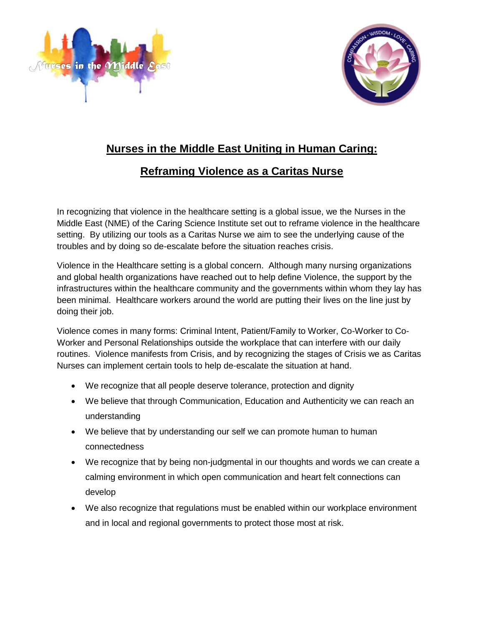



## **Nurses in the Middle East Uniting in Human Caring:**

## **Reframing Violence as a Caritas Nurse**

In recognizing that violence in the healthcare setting is a global issue, we the Nurses in the Middle East (NME) of the Caring Science Institute set out to reframe violence in the healthcare setting. By utilizing our tools as a Caritas Nurse we aim to see the underlying cause of the troubles and by doing so de-escalate before the situation reaches crisis.

Violence in the Healthcare setting is a global concern. Although many nursing organizations and global health organizations have reached out to help define Violence, the support by the infrastructures within the healthcare community and the governments within whom they lay has been minimal. Healthcare workers around the world are putting their lives on the line just by doing their job.

Violence comes in many forms: Criminal Intent, Patient/Family to Worker, Co-Worker to Co-Worker and Personal Relationships outside the workplace that can interfere with our daily routines. Violence manifests from Crisis, and by recognizing the stages of Crisis we as Caritas Nurses can implement certain tools to help de-escalate the situation at hand.

- We recognize that all people deserve tolerance, protection and dignity
- We believe that through Communication, Education and Authenticity we can reach an understanding
- We believe that by understanding our self we can promote human to human connectedness
- We recognize that by being non-judgmental in our thoughts and words we can create a calming environment in which open communication and heart felt connections can develop
- We also recognize that regulations must be enabled within our workplace environment and in local and regional governments to protect those most at risk.